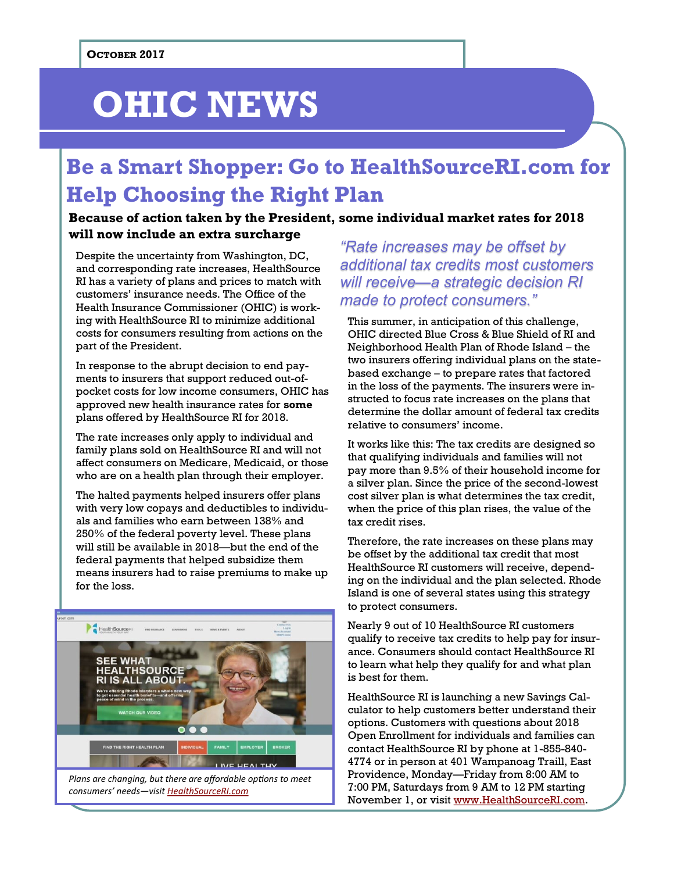# **OHIC NEWS**

## **Be a Smart Shopper: Go to HealthSourceRI.com for Help Choosing the Right Plan**

## **Because of action taken by the President, some individual market rates for 2018 will now include an extra surcharge**

Despite the uncertainty from Washington, DC, and corresponding rate increases, HealthSource RI has a variety of plans and prices to match with customers' insurance needs. The Office of the Health Insurance Commissioner (OHIC) is working with HealthSource RI to minimize additional costs for consumers resulting from actions on the part of the President.

In response to the abrupt decision to end payments to insurers that support reduced out-ofpocket costs for low income consumers, OHIC has approved new health insurance rates for **some** plans offered by HealthSource RI for 2018.

The rate increases only apply to individual and family plans sold on HealthSource RI and will not affect consumers on Medicare, Medicaid, or those who are on a health plan through their employer.

The halted payments helped insurers offer plans with very low copays and deductibles to individuals and families who earn between 138% and 250% of the federal poverty level. These plans will still be available in 2018—but the end of the federal payments that helped subsidize them means insurers had to raise premiums to make up for the loss.



*"Rate increases may be offset by additional tax credits most customers will receive—a strategic decision RI made to protect consumers."*

This summer, in anticipation of this challenge, OHIC directed Blue Cross & Blue Shield of RI and Neighborhood Health Plan of Rhode Island – the two insurers offering individual plans on the statebased exchange – to prepare rates that factored in the loss of the payments. The insurers were instructed to focus rate increases on the plans that determine the dollar amount of federal tax credits relative to consumers' income.

It works like this: The tax credits are designed so that qualifying individuals and families will not pay more than 9.5% of their household income for a silver plan. Since the price of the second-lowest cost silver plan is what determines the tax credit, when the price of this plan rises, the value of the tax credit rises.

Therefore, the rate increases on these plans may be offset by the additional tax credit that most HealthSource RI customers will receive, depending on the individual and the plan selected. Rhode Island is one of several states using this strategy to protect consumers.

Nearly 9 out of 10 HealthSource RI customers qualify to receive tax credits to help pay for insurance. Consumers should contact HealthSource RI to learn what help they qualify for and what plan is best for them.

HealthSource RI is launching a new Savings Calculator to help customers better understand their options. Customers with questions about 2018 Open Enrollment for individuals and families can contact HealthSource RI by phone at 1-855-840- 4774 or in person at 401 Wampanoag Traill, East Providence, Monday—Friday from 8:00 AM to 7:00 PM, Saturdays from 9 AM to 12 PM starting November 1, or visit [www.HealthSourceRI.com.](http://www.HealthSourceRI.com)